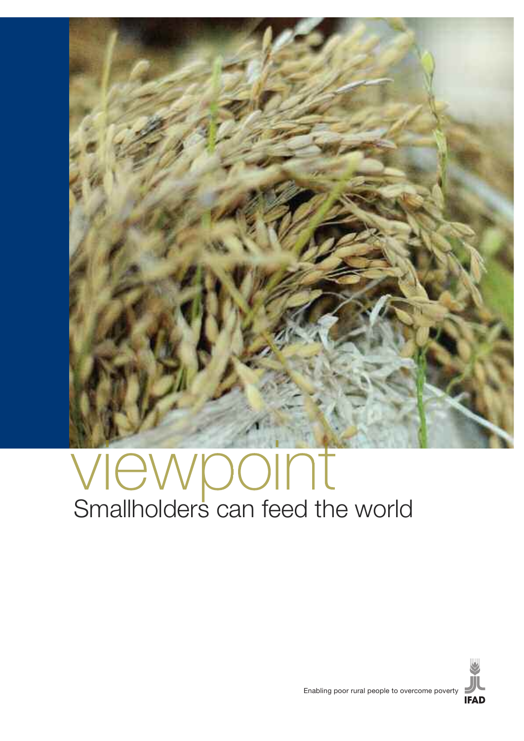

## viewpoint Smallholders can feed the world

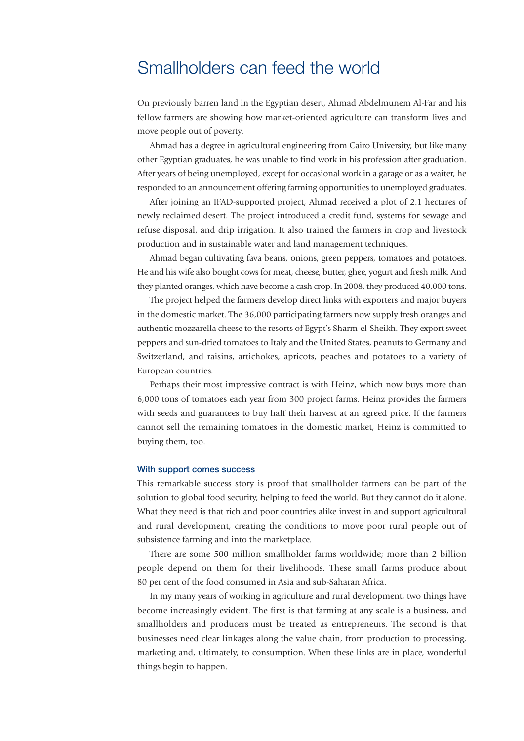## Smallholders can feed the world

On previously barren land in the Egyptian desert, Ahmad Abdelmunem Al-Far and his fellow farmers are showing how market-oriented agriculture can transform lives and move people out of poverty.

Ahmad has a degree in agricultural engineering from Cairo University, but like many other Egyptian graduates, he was unable to find work in his profession after graduation. After years of being unemployed, except for occasional work in a garage or as a waiter, he responded to an announcement offering farming opportunities to unemployed graduates.

After joining an IFAD-supported project, Ahmad received a plot of 2.1 hectares of newly reclaimed desert. The project introduced a credit fund, systems for sewage and refuse disposal, and drip irrigation. It also trained the farmers in crop and livestock production and in sustainable water and land management techniques.

Ahmad began cultivating fava beans, onions, green peppers, tomatoes and potatoes. He and his wife also bought cowsfor meat, cheese, butter, ghee, yogurt and fresh milk. And they planted oranges, which have become a cash crop. In 2008, they produced 40,000 tons.

The project helped the farmers develop direct links with exporters and major buyers in the domestic market. The 36,000 participating farmers now supply fresh oranges and authentic mozzarella cheese to the resorts of Egypt's Sharm-el-Sheikh. They export sweet peppers and sun-dried tomatoes to Italy and the United States, peanuts to Germany and Switzerland, and raisins, artichokes, apricots, peaches and potatoes to a variety of European countries.

Perhaps their most impressive contract is with Heinz, which now buys more than 6,000 tons of tomatoes each year from 300 project farms. Heinz provides the farmers with seeds and guarantees to buy half their harvest at an agreed price. If the farmers cannot sell the remaining tomatoes in the domestic market, Heinz is committed to buying them, too.

## With support comes success

This remarkable success story is proof that smallholder farmers can be part of the solution to global food security, helping to feed the world. But they cannot do it alone. What they need is that rich and poor countries alike invest in and support agricultural and rural development, creating the conditions to move poor rural people out of subsistence farming and into the marketplace.

There are some 500 million smallholder farms worldwide; more than 2 billion people depend on them for their livelihoods. These small farms produce about 80 per cent of the food consumed in Asia and sub-Saharan Africa.

In my many years of working in agriculture and rural development, two things have become increasingly evident. The first is that farming at any scale is a business, and smallholders and producers must be treated as entrepreneurs. The second is that businesses need clear linkages along the value chain, from production to processing, marketing and, ultimately, to consumption. When these links are in place, wonderful things begin to happen.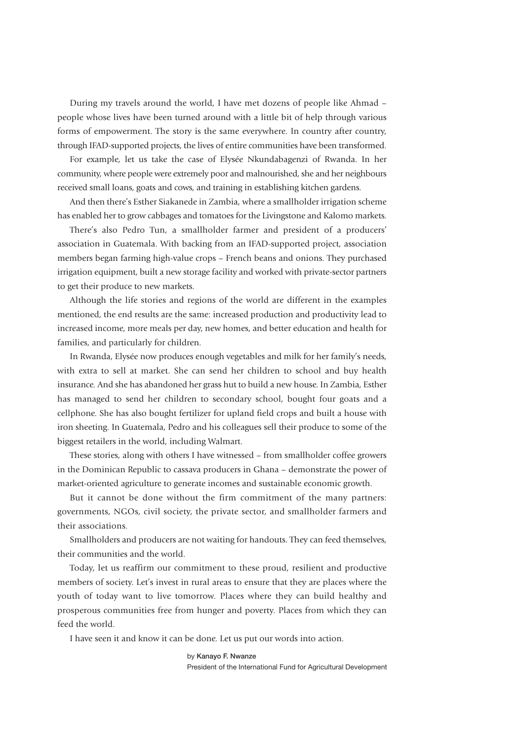During my travels around the world, I have met dozens of people like Ahmad – people whose lives have been turned around with a little bit of help through various forms of empowerment. The story is the same everywhere. In country after country, through IFAD-supported projects, the lives of entire communities have been transformed.

For example, let us take the case of Elysée Nkundabagenzi of Rwanda. In her community, where people were extremely poor and malnourished, she and her neighbours received small loans, goats and cows, and training in establishing kitchen gardens.

And then there's Esther Siakanede in Zambia, where a smallholder irrigation scheme has enabled her to grow cabbages and tomatoes for the Livingstone and Kalomo markets.

There's also Pedro Tun, a smallholder farmer and president of a producers' association in Guatemala. With backing from an IFAD-supported project, association members began farming high-value crops – French beans and onions. They purchased irrigation equipment, built a new storage facility and worked with private-sector partners to get their produce to new markets.

Although the life stories and regions of the world are different in the examples mentioned, the end results are the same: increased production and productivity lead to increased income, more meals per day, new homes, and better education and health for families, and particularly for children.

In Rwanda, Elysée now produces enough vegetables and milk for her family's needs, with extra to sell at market. She can send her children to school and buy health insurance. And she has abandoned her grass hut to build a new house. In Zambia, Esther has managed to send her children to secondary school, bought four goats and a cellphone. She has also bought fertilizer for upland field crops and built a house with iron sheeting. In Guatemala, Pedro and his colleagues sell their produce to some of the biggest retailers in the world, including Walmart.

These stories, along with others I have witnessed – from smallholder coffee growers in the Dominican Republic to cassava producers in Ghana – demonstrate the power of market-oriented agriculture to generate incomes and sustainable economic growth.

But it cannot be done without the firm commitment of the many partners: governments, NGOs, civil society, the private sector, and smallholder farmers and their associations.

Smallholders and producers are not waiting for handouts. They can feed themselves, their communities and the world.

Today, let us reaffirm our commitment to these proud, resilient and productive members of society. Let's invest in rural areas to ensure that they are places where the youth of today want to live tomorrow. Places where they can build healthy and prosperous communities free from hunger and poverty. Places from which they can feed the world.

I have seen it and know it can be done. Let us put our words into action.